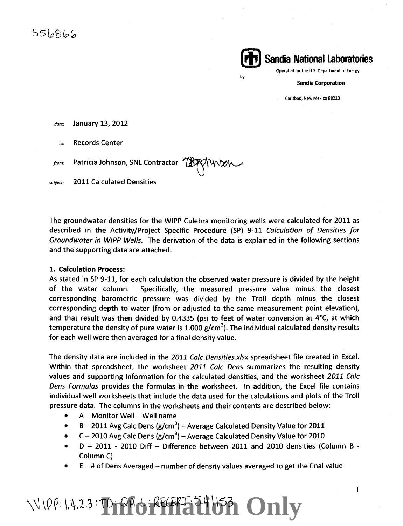

by

Operated for the U.S. Department of Energy

Sandia Corporation

Carlsbad, New Mexico 88220

*date:*  January 13, 2012

*to:*  Records Center

*from:*  Patricia Johnson, SNL Contractor  $^{\prime\prime}$ 

subject: 2011 Calculated Densities

The groundwater densities for the WIPP Culebra monitoring wells were calculated for 2011 as described in the Activity/Project Specific Procedure (SP) 9-11 Calculation of Densities for Groundwater in WIPP Wells. The derivation of the data is explained in the following sections and the supporting data are attached.

#### 1. Calculation Process:

As stated in SP 9-11, for each calculation the observed water pressure is divided by the height of the water column. Specifically, the measured pressure value minus the closest corresponding barometric pressure was divided by the Troll depth minus the closest corresponding depth to water (from or adjusted to the same measurement point elevation), and that result was then divided by 0.4335 (psi to feet of water conversion at 4°C, at which temperature the density of pure water is 1.000 g/cm<sup>3</sup>). The individual calculated density results for each well were then averaged for a final density value.

The density data are included in the 2011 Calc Densities.xlsx spreadsheet file created in Excel. Within that spreadsheet, the worksheet 2011 Calc Dens summarizes the resulting density values and supporting information for the calculated densities, and the worksheet 2011 Calc Dens Formulas provides the formulas in the worksheet. In addition, the Excel file contains individual well worksheets that include the data used for the calculations and plots of the Troll pressure data. The columns in the worksheets and their contents are described below:

- A- Monitor Well- Well name
- $\bullet$  B 2011 Avg Calc Dens (g/cm<sup>3</sup>) Average Calculated Density Value for 2011
- $C 2010$  Avg Calc Dens (g/cm<sup>3</sup>) Average Calculated Density Value for 2010
- D 2011 2010 Diff Difference between 2011 and 2010 densities (Column B Column C)
- $E \#$  of Dens Averaged number of density values averaged to get the final value

### **WIPP: 1.4.2.3: Prefect Ferrit E1163 Only**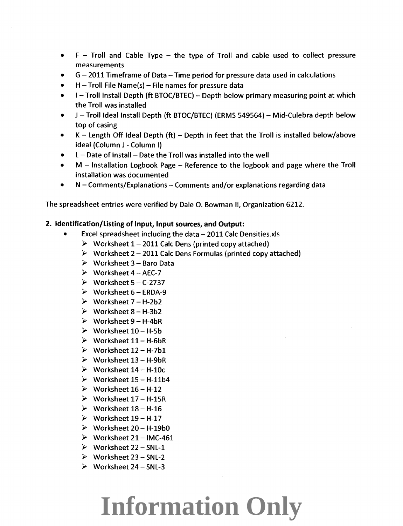- $\bullet$  F Troll and Cable Type the type of Troll and cable used to collect pressure measurements
- $G 2011$  Timeframe of Data  $-$  Time period for pressure data used in calculations
- $\bullet$  H Troll File Name(s) File names for pressure data
- $\bullet$  I Troll Install Depth (ft BTOC/BTEC) Depth below primary measuring point at which the Troll was installed
- J Troll Ideal Install Depth (ft BTOC/BTEC) (ERMS 549564) Mid-Culebra depth below top of casing
- $\bullet$  K Length Off Ideal Depth (ft) Depth in feet that the Troll is installed below/above ideal (Column J - Column I)
- $L$  Date of Install Date the Troll was installed into the well
- $M$  Installation Logbook Page Reference to the logbook and page where the Troll installation was documented
- $\bullet$  N Comments/Explanations Comments and/or explanations regarding data

The spreadsheet entries were verified by Dale 0. Bowman II, Organization 6212.

#### 2. Identification/Listing of Input, Input sources, and Output:

- Excel spreadsheet including the data  $-2011$  Calc Densities.xls
	- $\triangleright$  Worksheet 1 2011 Calc Dens (printed copy attached)
	- $\triangleright$  Worksheet 2 2011 Calc Dens Formulas (printed copy attached)
	- $\triangleright$  Worksheet 3 Baro Data
	- $\triangleright$  Worksheet 4 AEC-7
	- $\triangleright$  Worksheet 5 C-2737
	- $\triangleright$  Worksheet 6 ERDA-9
	- $\triangleright$  Worksheet 7 H-2b2
	- $\triangleright$  Worksheet 8 H-3b2
	- $\triangleright$  Worksheet 9 H-4bR
	- $\triangleright$  Worksheet 10 H-5b
	- $\triangleright$  Worksheet 11 H-6bR
	- $\triangleright$  Worksheet 12 H-7b1
	- $\triangleright$  Worksheet 13 H-9bR
	- $\triangleright$  Worksheet 14 H-10c
	- $\triangleright$  Worksheet 15 H-11b4
	- $\triangleright$  Worksheet 16 H-12
	- $\triangleright$  Worksheet 17 H-15R
	- $\triangleright$  Worksheet 18 H-16
	- $\triangleright$  Worksheet 19 H-17
	- $\triangleright$  Worksheet 20 H-19b0
	- $\triangleright$  Worksheet 21 IMC-461
	- $\triangleright$  Worksheet 22 SNL-1
	- $\triangleright$  Worksheet 23 SNL-2
	- $\triangleright$  Worksheet 24 SNL-3

# **Information Only**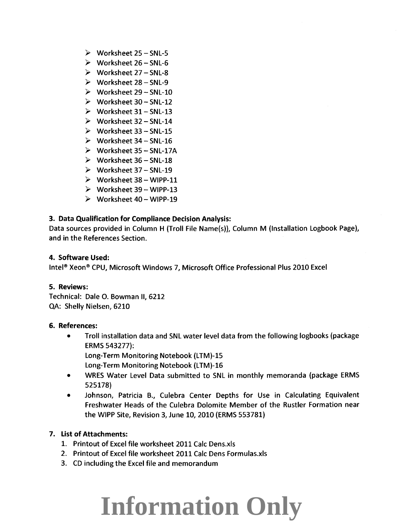- $\triangleright$  Worksheet 25 SNL-5
- $\triangleright$  Worksheet 26 SNL-6
- $\triangleright$  Worksheet 27 SNL-8
- $\triangleright$  Worksheet 28 SNL-9
- $\triangleright$  Worksheet 29 SNL-10
- $\triangleright$  Worksheet 30 SNL-12
- $\triangleright$  Worksheet 31 SNL-13
- $\triangleright$  Worksheet 32 SNL-14
- $\triangleright$  Worksheet 33 SNL-15
- $\triangleright$  Worksheet 34 SNL-16
- $\triangleright$  Worksheet 35 SNL-17A
- $\triangleright$  Worksheet 36 SNL-18
- $\triangleright$  Worksheet 37 SNL-19
- $\triangleright$  Worksheet 38 WIPP-11
- $\triangleright$  Worksheet 39 WIPP-13
- $\triangleright$  Worksheet 40 WIPP-19

#### 3. Data Qualification for Compliance Decision Analysis:

Data sources provided in Column H (Troll File Name(s)), Column M (Installation Logbook Page), and in the References Section.

#### 4. Software Used:

Intel® Xeon® CPU, Microsoft Windows *7,* Microsoft Office Professional Plus 2010 Excel

#### 5. Reviews:

Technical: Dale 0. Bowman II, 6212 QA: Shelly Nielsen, 6210

#### 6. References:

• Troll installation data and SNL water level data from the following logbooks (package ERMS 543277): Long-Term Monitoring Notebook (LTM)-15

- Long-Term Monitoring Notebook (LTM)-16
- WRES Water Level Data submitted to SNL in monthly memoranda (package ERMS 525178)
- Johnson, Patricia B., Culebra Center Depths for Use in Calculating Equivalent Freshwater Heads of the Culebra Dolomite Member of the Rustler Formation near the WIPP Site, Revision *3,* June 10, 2010 (ERMS 553781)

#### 7. List of Attachments:

- 1. Printout of Excel file worksheet 2011 Calc Dens.xls
- 2. Printout of Excel file worksheet 2011 Calc Dens Formulas.xls
- 3. CD including the Excel file and memorandum

# **Information Only**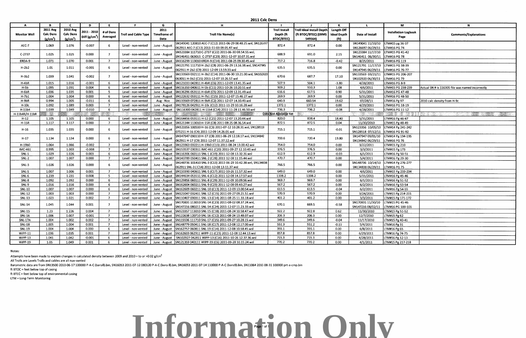Notes:

Attempts have been made to explain changes in calculated density between 2009 and 2010 = to or >0.02 g/cm<sup>3</sup>

All Trolls are Levels Trolls and cables are all non-vented

**2011 Calc Dens** 

### **Information Only** Page 1 of 1

| $\mathbf{A}$        | $\mathbf{B}$                  | c.                   | D                         | F.             | .F.                  | G             | H                                                                     |                        | $\mathbf{I}$              | K                  | L.                | M                           | <b>N</b>                                         |
|---------------------|-------------------------------|----------------------|---------------------------|----------------|----------------------|---------------|-----------------------------------------------------------------------|------------------------|---------------------------|--------------------|-------------------|-----------------------------|--------------------------------------------------|
|                     | <b>2011 Avg</b>               | 2010 Avg             |                           |                |                      | 2011          |                                                                       | <b>Troll Install</b>   | Troll Ideal Install Depth | Length Off         |                   |                             |                                                  |
| <b>Monitor Well</b> | <b>Calc Dens</b>              | <b>Calc Dens</b>     | 2011 - 2010               | # of Dens      | Troll and Cable Type | Timeframe of  | <b>Troll File Name(s)</b>                                             | Depth (ft              | (ft BTOC/BTEC) (ERMS      | <b>Ideal Depth</b> | Date of Install   | <b>Installation Logbook</b> | <b>Comments/Explanations</b>                     |
|                     | $\left(\frac{e}{cm^3}\right)$ | (g/cm <sup>3</sup> ) | Diff (g/cm <sup>3</sup> ) | Averaged       |                      | Data          |                                                                       | <b>BTOC/BTEC)</b>      | 549564)                   | (f <sup>t</sup> )  |                   | Page                        |                                                  |
|                     |                               |                      |                           |                |                      |               | SN149041 120810 AEC-7 (C12) 2011-06-29 08.48.25.wsl, SN126697         |                        |                           |                    | SN149041 11/10/10 | LTM#15 pg 36-37             |                                                  |
| AEC-7               | 1.069                         | 1.076                | $-0.007$                  |                | Level - non-vented   | June - August | 062911 AEC-7 (C13) 2011-11-03 09.05.47.wsl                            | 872.4                  | 872.4                     | 0.00               | SN126697 06/29/11 | LTM#16 PG 74                |                                                  |
|                     |                               |                      |                           |                |                      |               | SN123384 111710 C-2737 (C22) 2011-06-30 08.54.55.wsl,                 |                        |                           |                    | SN123384 11/17/10 | LTM#15 PG 41-42             |                                                  |
| C-2737              | 1.025                         | 1.025                | 0.000                     |                | Level - non-vented   | June - August | SN146411 063011 C-2737 (C23) 2011-12-07 10.07.31.wsl                  | 688.9                  | 691.0                     | 2.15               | SN146411 06/30/11 | LTM#16 PG 78                |                                                  |
| ERDA-9              | 1.071                         | 1.070                | 0.001                     | $\overline{7}$ | Level - non-vented   | June - August | SN116299 113010 ERDA-9 (C14) 2011-08-25 09.30.45.wsl                  | 717.2                  | 716.8                     | $-0.42$            | 8/25/2011         | LTM#16 PG 119               |                                                  |
| $H-2b2$             | 1.01                          | 1.011                | $-0.001$                  |                | Level - non-vented   | June - August | SN121791 111710 H-2b2 (C8) 2011-06-29 13.16.38.wsl, SN147945          | 635.5                  | 635.5                     | 0.00               | SN121791 11/17/10 | LTM#15 PG 38-39             |                                                  |
|                     |                               |                      |                           |                |                      |               | 062911 H-2b2 (C9) 2011-12-09 13.59.33.wsl                             |                        |                           |                    | SN147945 06/29/11 | LTM#16 PG 76-77             |                                                  |
| $H-3b2$             | 1.039                         | 1.041                | $-0.002$                  |                | Level - non-vented   | June - August | SN133569 032111 H-3b2 (C14) 2011-06-30 10.21.00.wsl, SN102920         | 670.6                  | 687.7                     | 17.10              | SN133569 03/21/11 | LTM#15 PG 206-207           |                                                  |
|                     |                               |                      |                           |                |                      |               | 063011 H-3b2 (C15) 2011-12-07 10.26.57.wsl                            |                        |                           |                    | SN102920 06/30/11 | LTM#16 PG 79                |                                                  |
| $H-4bR$             | 1.015                         | 1.016                | $-0.001$                  | -6             | Level - non-vented   | June - August | SN121033 042811 H-4bR (C6) 2011-12-09 13.41.35.wsl                    | 507.9                  | 504.1                     | $-3.80$            | 4/28/2011         | LTM#16 PG 8-9               |                                                  |
| $H-5b$              | 1.095                         | 1.091                | 0.004                     | -6             | Level - non-vented   | June - August | SN116350 040611 H-5b (C11) 2011-10-26 10.20.51.wsl                    | 909.2                  | 910.3                     | 1.08               | 4/6/2011          | LTM#15 PG 238-239           | Actual SN # is 116305 file was named incorrectly |
| $H-6bR$             | 1.036                         | 1.035                | 0.001                     | - 5            | Level - non-vented   | June - August | SN136296 053111 H-6bR (C5) 2011-12-09 12.31.49.wsl                    | 616.6                  | 617.5                     | 0.90               | 5/31/2011         | LTM#16 PG 47-48             |                                                  |
| $H-7b1$             | 1.004                         | 1.004                | 0.000                     | -6             | Level - non-vented   | June - August | SN122632 053111 H-7b1 (C15) 2011-12-07 15.46.27.wsl                   | 269.9                  | 269.9                     | 0.00               | 5/31/2011         | LTM#16 PG 48-50             |                                                  |
| $H-9bR$             | 0.994                         | 1.005                | $-0.011$                  | - 6            | Level - non-vented   | Aug - Nov     | SN133569 072811 H-9bR (C2) 2011-12-07 14.10.43.wsl                    | 640.9                  | 660.54                    | 19.62              | 07/28/11          | LTM#16 Pg 97                | 2010 calc density from H-9c                      |
| $H-10c$             | 1.092                         | 1.089                | 0.003                     | - 7            | Level - non-vented   |               | June - August   SN178126 042911 H-10c (C12) 2011-11-29 10.16.28.wsl   | 1372.1                 | 1372.1                    | 0.00               | 4/29/2011         | LTM#16 PG 18-19             |                                                  |
| H-11b4              | 1.039                         | 1.049                | $-0.010$                  | - 6            | Level - non-vented   |               | June - August   SN116300 042811 H-11b4 (C14) 2011-11-28 11.46.50.wsl  | 736.3                  | 736.2                     | $-0.08$            | 4/28/2011         | LTM#16 PG 11-12             |                                                  |
| H-11b4R/H-11bR      |                               |                      |                           |                |                      |               |                                                                       | Data Not Available Yet |                           |                    |                   | e Kanada                    | t een verske                                     |
| $H-12$              | 1.105                         | 1.105                | 0.000                     | -6             | Level - non-vented   |               | June - August   SN164456 053111 H-12 (C21) 2011-12-07 13.20.44.wsl    | 820.0                  | 838.4                     | 18.40              | 5/31/2011         | LTM#16 Pg 46-47             |                                                  |
| <b>H-15R</b>        | 1.117                         | 1.117                | 0.000                     |                | Level - non-vented   | June - August | SN121344 113010 H-15R (C8) 2011-08-25 08.36.54.wsl                    | 872.5                  | 872.5                     | 0.04               | 11/30/2010        | LTM#15 Pg 48-49             |                                                  |
| $H-16$              | 1.035                         | 1.035                | 0.000                     | 6              | Level - non-vented   | June - August | SN123356 100510 H-16 (C3) 2011-07-12 10.28.31.wsl, SN128518           | 715.1                  | 715.1                     | $-0.01$            | SN123356 10/05/10 | LTM#14 Pg 241-242           |                                                  |
|                     |                               |                      |                           |                |                      |               | 071211 H-16 (C4) 2011-12-09 14.26.01.wsl                              |                        |                           |                    | SN128518 07/12/11 | LTM#16 PG 91-92             |                                                  |
| $H-17$              | 1.134                         | 1.134                | 0.000                     |                | Level - non-vented   | June - August | SN147947 090110 H-17 (C8) 2011-06-29 12.18.17.wsl, SN134842           | 700.6                  | 720.4                     | 19.80              | SN147947 09/01/10 | LTM#14 Pg 194-195           |                                                  |
|                     |                               |                      |                           |                |                      |               | 062911 H-17 (C9) 2011-12-07 11.37.12.wsl                              |                        |                           |                    | SN134842 06/29/11 | LTM#16 PG 76                |                                                  |
| H-19b0              | 1.064                         | 1.066                | $-0.002$                  | - 7            | Level - non-vented   | June - August | SN123363 032211 H-19b0 (C13) 2011-08-24 13.00.42.wsl                  | 754.0                  | 754.0                     | 0.00               | 3/22/2011         | LTM#15 Pg 210               |                                                  |
| <b>IMC-461</b>      | 0.995                         | 1.003                | $-0.008$                  | $\overline{7}$ | Level - non-vented   | June - August | SN153537 030311 IMC-461 (C20) 2011-09-27 12.10.43.wsl                 | 376.5                  | 376.5                     | 0.00               | 3/3/2011          | LTM#15 Pg 173               |                                                  |
| <b>SNL-1</b>        | 1 0 2 9                       | 1.026                | 0.003                     | -6             | Level - non-vented   | June - August | SN116306 060111 SNL-1 (C19) 2011-12-08 13.32.31.wsl                   | 612.9                  | 612.9                     | $-0.03$            | 6/1/2011          | LTM#16 Pg 50-51             |                                                  |
| $SNL-2$             | 1.007                         | 1.007                | 0.000                     | $\overline{7}$ | Level - non-vented   | June - August | SN143789 050411 SNL-2 (C28) 2011-12-08 11.15.44.wsl                   | 470.7                  | 470.7                     | 0.00               | 5/4/2011          | LTM#16 Pg 29-30             |                                                  |
| $SNL-3$             | 1.026                         | 1.026                | 0.000                     |                | Level - non-vented   | June - August | SN148736 101410 SNL-3 (C13) 2011-06-29 10.42.38.wsl, SN134838         | 766.5                  | 766.5                     | 0.00               | SN148736 10/14/10 | LTM#14 Pg 276-277           |                                                  |
|                     |                               |                      |                           |                |                      |               | 062911 SNL-3 (C14) 2011-12-08 13.11.37.wsl                            |                        |                           |                    | SN13483806/29/11  | LTM#16 PG 75                |                                                  |
| SNL-5               | 1.007                         | 1.006                | 0.001                     | $\overline{7}$ | Level - non-vented   | June - August | SN110390 040611 SNL-5 (C17) 2011-10-26 11.57.32.wsl                   | 649.0                  | 649.0                     | 0.00               | 4/6/2011          | LTM#15 Pg 233-234           |                                                  |
| SNL-6               | 1.239                         | 1.231                | 0.008                     | - 5            | Level - non-vented   | June - August | SN144634 053111 SNL-6 (C12) 2011-12-08 14.17.57.wsl                   | 1338.2                 | 1338.2                    | 0.00               | 5/31/2011         | LTM#16 Pg 45-46             |                                                  |
| SNL-8               | 1.092                         | 1.092                | 0.000                     | -6             | Level - non-vented   | June - August | SN129856 060111 SNL-8 (C29) 2011-12-09 10.09.56.wsl                   | 969.7                  | 969.7                     | 0.00               | 6/1/2011          | LTM#16 Pg 51-52             |                                                  |
| <b>SNL-9</b>        | 1.016                         | 1.016                | 0.000                     | - 6            | Level - non-vented   | June - August | SN162604 060211 SNL-9 (C23) 2011-12-08 09.43.27.wsl                   | 567.2                  | 567.2                     | 0.00               | 6/2/2011          | LTM#16 Pg 53-54             |                                                  |
| <b>SNL-10</b>       | 1.007                         | 1.007                | 0.000                     | -6             | Level - non-vented   | June - August | SN162609 060211 SNL-10 (C13) 2011-12-09 13.00.54.wsl                  | 613.5                  | 613.5                     | $-0.04$            | 6/2/2011          | LTM#16 Pg 54-55             |                                                  |
| <b>SNL-12</b>       | 1.003                         | 1.003                | 0.000                     | $\overline{7}$ | Level - non-vented   | June - August | SN121047 032411 SNL-12 (C15) 2011-09-27 09.21.51.wsl                  | 570.9                  | 570.9                     | 0.00               | 3/24/2011         | LTM#15 Pg 214-215           |                                                  |
| <b>SNL-13</b>       | 1.023                         | 1.021                | 0.002                     | $\overline{7}$ | Level - non-vented   | June - August | SN110407 030311 SNL-13 (C14) 2011-08-25 11.33.18.wsl                  | 401.2                  | 401.2                     | 0.00               | 3/3/2011          | TM#15 Pg 171-172            |                                                  |
| <b>SNL-14</b>       | 1.045                         | 1.044                | 0.001                     | $\overline{7}$ | Level - non-vented   | June - August | SN170831 113010 SNL-14 (C23) 2011-08-02 08.37.24.wsl,                 | 670.1                  | 669.5                     | $-0.58$            | SN170831 11/30/10 | TM#15 PG 45-46              |                                                  |
|                     |                               |                      |                           |                |                      |               | SN147216 080211 SNL-14 (C24) 2011-12-07 11.23.33.wsl                  |                        |                           |                    | SN147216 08/02/11 | TM#16 PG 100-101            |                                                  |
| SNL-15              | 1.23                          | 1.226                | 0.004                     | $\overline{7}$ | Level - non-vented   | June - August | SN123357 113010 SNL-15 (C18) 2011-08-24 10.58.47.wsl                  | 922.2                  | 922.8                     | 0.62               | 11/30/2010        | LTM#15 Pg 51-52             |                                                  |
| <b>SNL-16</b>       | 1.006                         | 1.007                | $-0.001$                  | $\overline{7}$ | Level - non-vented   | June - August | SN122638 120710 SNL-16 (C12) 2011-08-24 13.48.07.wsl                  | 206.3                  | 206.3                     | 0.00               | 12/7/2010         | TM#15 Pg 62                 |                                                  |
| <b>SNL-17A</b>      | 1.004                         | 1.002                | 0.002                     | $\overline{7}$ | Level - non-vented   |               | June - August SN115536 111710 SNL-17 (C15) 2011-09-27 10.28.15.wsl    | 349.6                  | 349.6                     | $-0.04$            | 11/17/2010        | LTM#15 Pg 40-41             |                                                  |
| <b>SNL-18</b>       | 1.005                         | 1.004                | 0.001                     | $\overline{7}$ | Level - non-vented   |               | June - August   SN148779 050411 SNL-18 (C17) 2011-12-08 12.17.00.wsl  | 551.3                  | 551.2                     | $-0.11$            | 5/4/2011          | TM#16 Pg 31                 |                                                  |
| <b>SNL-19</b>       | 1.004                         | 1.004                | 0.000                     | -6             | Level - non-vented   |               | June - August   SN162757 060811 SNL-19 (C14) 2011-12-08 10.58.45.wsl  | 355.1                  | 355.1                     | 0.00 <sub>1</sub>  | 6/8/2011          | TM#16 Pg 65                 |                                                  |
| $W$ IPP-11          | 1.036                         | 1.035                | 0.001                     | $\overline{7}$ | Level - non-vented   |               | June - August SN162603 062911 WIPP-11 (C23) 2011-12-08 12.44.13.wsl   | 857.8                  | 857.8                     | 0.00               | 6/29/2011         | LTM#16 Pg 74-75             |                                                  |
| WIPP-13             | 1.041                         | 1.042                | $-0.001$                  | -6             | Level - non-vented   |               | June - August   SN102927 042811 WIPP-13 (C16) 2011-10-26 12.37.36.wsl | 715.3                  | 715.3                     | 0.00               | 4/28/2011         | LTM#16 Pg 12-13             |                                                  |
| WIPP-19             | 1.05                          | 1.049                | 0.001                     | -6             | Level - non-vented   |               | June - August SN121359 040111 WIPP-19 (C6) 2011-09-28 10.15.24.wsl    | 770.2                  | 770.2                     | 0.00               | 4/1/2011          | LTM#15 Pg 217-218           |                                                  |

Barometric data are from SN13500 2010-06-17 100000 P-A-C (baro8}.bin, SN16053 2011-07-12 080120 P-A-C (baro 8}.bin, SN16053 2011-07-14 110000 P-A-C (baro9}.bin, SN11064 2010-08-31100000 prt-a-cmp.bin

ft BTOC =feet below top of casing

ft BTEC =feet below top of environmental casing

LTM =Long-Term Monitoring